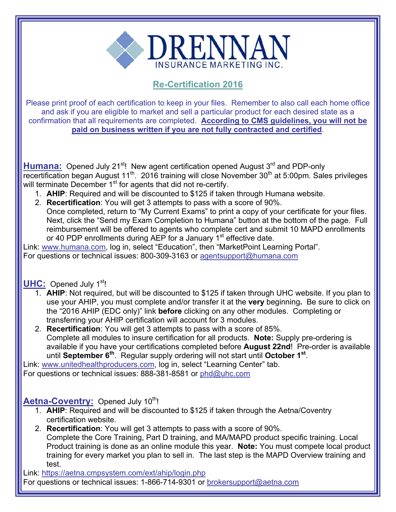

## **Re-Certification 2016**

Please print proof of each certification to keep in your files. Remember to also call each home office and ask if you are eligible to market and sell a particular product for each desired state as a confirmation that all requirements are completed. **According to CMS guidelines, you will not be paid on business written if you are not fully contracted and certified**.

Humana: Opened July 21<sup>st</sup>! New agent certification opened August 3<sup>rd</sup> and PDP-only recertification began August 11<sup>th</sup>. 2016 training will close November 30<sup>th</sup> at 5:00pm. Sales privileges will terminate December 1<sup>st</sup> for agents that did not re-certify.

- 1. **AHIP**: Required and will be discounted to \$125 if taken through Humana website.
- 2. **Recertification**: You will get 3 attempts to pass with a score of 90%. Once completed, return to "My Current Exams" to print a copy of your certificate for your files. Next, click the "Send my Exam Completion to Humana" button at the bottom of the page. Full reimbursement will be offered to agents who complete cert and submit 10 MAPD enrollments or 40 PDP enrollments during AEP for a January 1<sup>st</sup> effective date.

Link: www.humana.com, log in, select "Education", then "MarketPoint Learning Portal". For questions or technical issues: 800-309-3163 or agentsupport@humana.com

## **UHC:** Opened July 1<sup>st</sup>!

- 1. **AHIP**: Not required, but will be discounted to \$125 if taken through UHC website. If you plan to use your AHIP, you must complete and/or transfer it at the **very** beginning**.** Be sure to click on the "2016 AHIP (EDC only)" link **before** clicking on any other modules. Completing or transferring your AHIP certification will account for 3 modules.
- 2. **Recertification**: You will get 3 attempts to pass with a score of 85%. Complete all modules to insure certification for all products. **Note:** Supply pre-ordering is available if you have your certifications completed before **August 22nd**! Pre-order is available until **September 6th**. Regular supply ordering will not start until **October 1st**.

Link: www.unitedhealthproducers.com, log in, select "Learning Center" tab.

For questions or technical issues: 888-381-8581 or phd@uhc.com

## Aetna-Coventry: Opened July 10<sup>th</sup>!

- 1. **AHIP**: Required and will be discounted to \$125 if taken through the Aetna/Coventry certification website.
- 2. **Recertification**: You will get 3 attempts to pass with a score of 90%. Complete the Core Training, Part D training, and MA/MAPD product specific training. Local Product training is done as an online module this year. **Note:** You must compete local product training for every market you plan to sell in. The last step is the MAPD Overview training and test.

Link: https://aetna.cmpsystem.com/ext/ahip/login.php

For questions or technical issues: 1-866-714-9301 or brokersupport@aetna.com